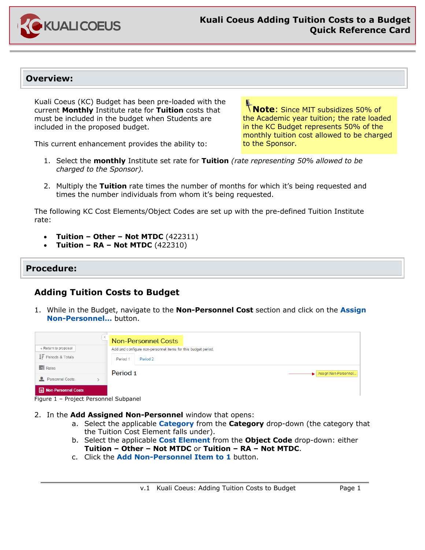

#### **Overview:**

Kuali Coeus (KC) Budget has been pre-loaded with the current **Monthly** Institute rate for **Tuition** costs that must be included in the budget when Students are included in the proposed budget.

This current enhancement provides the ability to:

**Note**: Since MIT subsidizes 50% of the Academic year tuition; the rate loaded in the KC Budget represents 50% of the monthly tuition cost allowed to be charged to the Sponsor.

- 1. Select the **monthly** Institute set rate for **Tuition** *(rate representing 50% allowed to be charged to the Sponsor).*
- 2. Multiply the **Tuition** rate times the number of months for which it's being requested and times the number individuals from whom it's being requested.

The following KC Cost Elements/Object Codes are set up with the pre-defined Tuition Institute rate:

- **Tuition – Other – Not MTDC** (422311)
- **Tuition – RA – Not MTDC** (422310)

#### **Procedure:**

## **Adding Tuition Costs to Budget**

1. While in the Budget, navigate to the **Non-Personnel Cost** section and click on the **Assign Non-Personnel…** button.

|                                       | <b>Non-Personnel Costs</b>                                    |
|---------------------------------------|---------------------------------------------------------------|
| « Return to proposal                  | Add and configure non-personnel items for this budget period. |
| $\downarrow$ Periods & Totals         | Period 2<br>Period 1                                          |
| Rates                                 | Period <sub>1</sub><br>Assign Non-Personnel                   |
| <b>Personnel Costs</b>                |                                                               |
| <b>E</b> Non-Personnel Costs          |                                                               |
| Figure 1 - Project Personnel Subpanel |                                                               |

- 2. In the **Add Assigned Non-Personnel** window that opens:
	- a. Select the applicable **Category** from the **Category** drop-down (the category that the Tuition Cost Element falls under).
	- b. Select the applicable **Cost Element** from the **Object Code** drop-down: either **Tuition – Other – Not MTDC** or **Tuition – RA – Not MTDC**.
	- c. Click the **Add Non-Personnel Item to 1** button.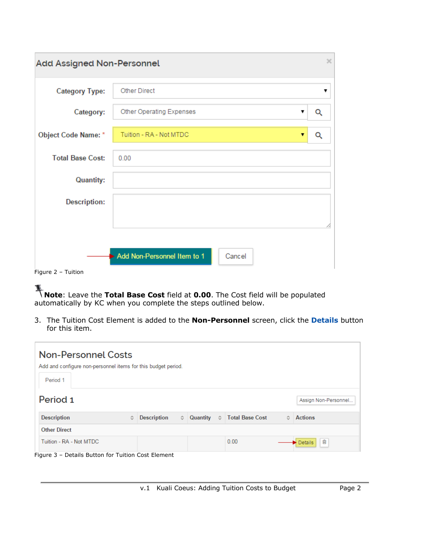| $\times$<br><b>Add Assigned Non-Personnel</b> |                                       |   |  |  |  |
|-----------------------------------------------|---------------------------------------|---|--|--|--|
| <b>Category Type:</b>                         | <b>Other Direct</b>                   | ▼ |  |  |  |
| Category:                                     | Other Operating Expenses<br>▼         | Q |  |  |  |
| <b>Object Code Name: *</b>                    | Tuition - RA - Not MTDC<br>▼          | Q |  |  |  |
| <b>Total Base Cost:</b>                       | 0.00                                  |   |  |  |  |
| <b>Quantity:</b>                              |                                       |   |  |  |  |
| <b>Description:</b>                           |                                       |   |  |  |  |
|                                               |                                       | Α |  |  |  |
| Figure 2 - Tuition                            | Add Non-Personnel Item to 1<br>Cancel |   |  |  |  |

**Note**: Leave the **Total Base Cost** field at **0.00**. The Cost field will be populated automatically by KC when you complete the steps outlined below.

3. The Tuition Cost Element is added to the **Non-Personnel** screen, click the **Details** button for this item.

| <b>Non-Personnel Costs</b><br>Add and configure non-personnel items for this budget period. |                                 |          |                                |                      |  |  |
|---------------------------------------------------------------------------------------------|---------------------------------|----------|--------------------------------|----------------------|--|--|
|                                                                                             |                                 |          |                                |                      |  |  |
| Period 1                                                                                    |                                 |          |                                |                      |  |  |
| Period 1                                                                                    |                                 |          |                                | Assign Non-Personnel |  |  |
| <b>Description</b><br>≎                                                                     | <b>Description</b><br>$\hat{v}$ | Quantity | ☆ Total Base Cost<br>$\hat{v}$ | <b>Actions</b>       |  |  |
| <b>Other Direct</b>                                                                         |                                 |          |                                |                      |  |  |
| Tuition - RA - Not MTDC                                                                     |                                 |          | 0.00                           | 圙<br><b>Details</b>  |  |  |
| Figure 3 - Details Button for Tuition Cost Element                                          |                                 |          |                                |                      |  |  |

v.1 Kuali Coeus: Adding Tuition Costs to Budget Page 2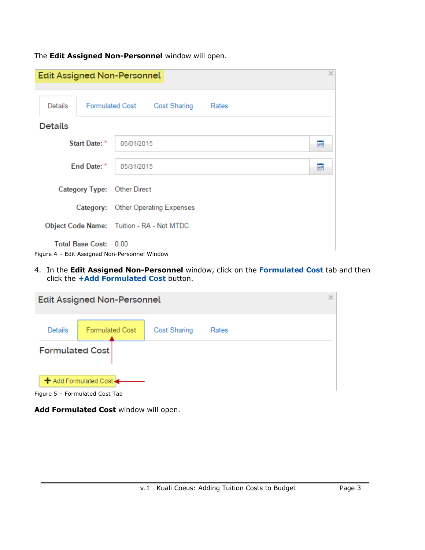The **Edit Assigned Non-Personnel** window will open.

|                |                       | <b>Edit Assigned Non-Personnel</b>            |  |
|----------------|-----------------------|-----------------------------------------------|--|
| Details        |                       | Formulated Cost Cost Sharing<br>Rates         |  |
| <b>Details</b> |                       |                                               |  |
|                | Start Date: *         | 05/01/2015<br>靊                               |  |
|                | End Date: *           | 05/31/2015<br>酾                               |  |
|                |                       | Category Type: Other Direct                   |  |
|                |                       | Category: Other Operating Expenses            |  |
|                |                       | Object Code Name: Tuition - RA - Not MTDC     |  |
|                | Total Base Cost: 0.00 | Figure 4 - Edit Assigned Non-Personnel Window |  |

4. In the **Edit Assigned Non-Personnel** window, click on the **Formulated Cost** tab and then click the **+Add Formulated Cost** button.

| $\times$<br><b>Edit Assigned Non-Personnel</b>              |                        |                     |       |  |  |
|-------------------------------------------------------------|------------------------|---------------------|-------|--|--|
| Details                                                     | <b>Formulated Cost</b> | <b>Cost Sharing</b> | Rates |  |  |
| <b>Formulated Cost</b>                                      |                        |                     |       |  |  |
| + Add Formulated Cost +<br>$Fianra E = Formulated Coct Tab$ |                        |                     |       |  |  |

Figure 5 – Formulated Cost Tab

**Add Formulated Cost** window will open.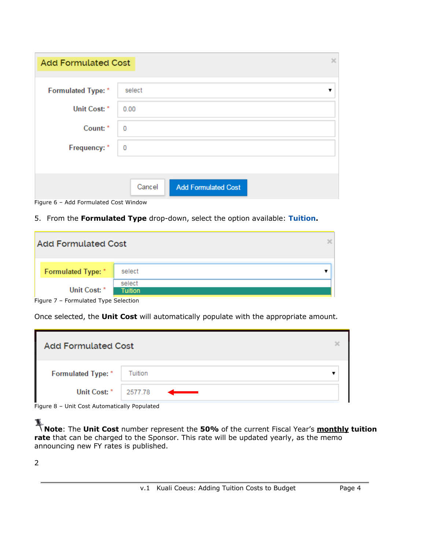| <b>Add Formulated Cost</b> | ×                                    |
|----------------------------|--------------------------------------|
| Formulated Type: *         | select<br>▼                          |
| Unit Cost: *               | 0.00                                 |
| Count: *                   | 0                                    |
| Frequency: *               | 0                                    |
|                            |                                      |
|                            | Cancel<br><b>Add Formulated Cost</b> |

Figure 6 – Add Formulated Cost Window

5. From the **Formulated Type** drop-down, select the option available: **Tuition.**

| <b>Add Formulated Cost</b> |                          |  |
|----------------------------|--------------------------|--|
| Formulated Type: *         | select                   |  |
| Unit Cost: *               | select<br><b>Tuition</b> |  |

Once selected, the **Unit Cost** will automatically populate with the appropriate amount.

| <b>Add Formulated Cost</b> |                                                                                                                                                                                                                                      |  |
|----------------------------|--------------------------------------------------------------------------------------------------------------------------------------------------------------------------------------------------------------------------------------|--|
| Formulated Type: *         | Tuition                                                                                                                                                                                                                              |  |
| Unit Cost: *   2577.78     | <u> Anno 1980 - Contae de la Parisa de la Parisa de la Parisa de la Parisa de la Parisa de la Parisa de la Parisa de la Parisa de la Parisa de la Parisa de la Parisa de la Parisa de la Parisa de la Parisa de la Parisa de la </u> |  |

Figure 8 – Unit Cost Automatically Populated

**Note:** The **Unit Cost** number represent the **50%** of the current Fiscal Year's **monthly tuition Note:** The **Unit Cost** number **rate** that can be charged to the Sponsor. This rate will be updated yearly, as the memo announcing new FY rates is published.

2

Figure 7 – Formulated Type Selection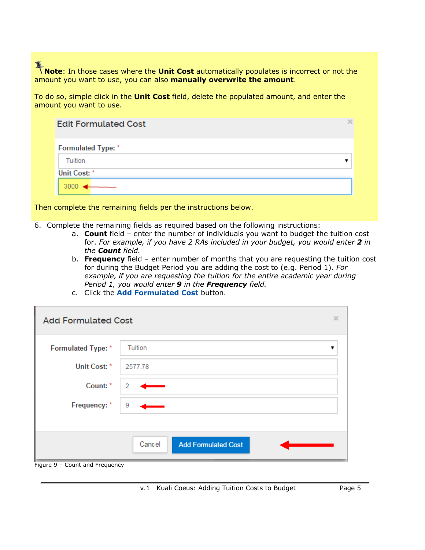**Note:** In those cases where the **Unit Cost** automatically populates is incorrect or not the amount you want to use, you can also **manually overwrite the amount**.

To do so, simple click in the **Unit Cost** field, delete the populated amount, and enter the amount you want to use.

| <b>Edit Formulated Cost</b> |  |
|-----------------------------|--|
| Formulated Type: *          |  |
| Tuition                     |  |
| Unit Cost: *                |  |
| 3000                        |  |

Then complete the remaining fields per the instructions below.

- 6. Complete the remaining fields as required based on the following instructions:
	- a. **Count** field enter the number of individuals you want to budget the tuition cost for. *For example, if you have 2 RAs included in your budget, you would enter 2 in the Count field.*
	- b. **Frequency** field enter number of months that you are requesting the tuition cost for during the Budget Period you are adding the cost to (e.g. Period 1). *For example, if you are requesting the tuition for the entire academic year during Period 1, you would enter 9 in the Frequency field.*
	- c. Click the **Add Formulated Cost** button.

| <b>Add Formulated Cost</b> |                                      | × |
|----------------------------|--------------------------------------|---|
| <b>Formulated Type: *</b>  | Tuition                              | ▼ |
| Unit Cost: *               | 2577.78                              |   |
| Count: *                   | 2                                    |   |
| Frequency: *               | 9                                    |   |
|                            |                                      |   |
|                            | Cancel<br><b>Add Formulated Cost</b> |   |

Figure 9 – Count and Frequency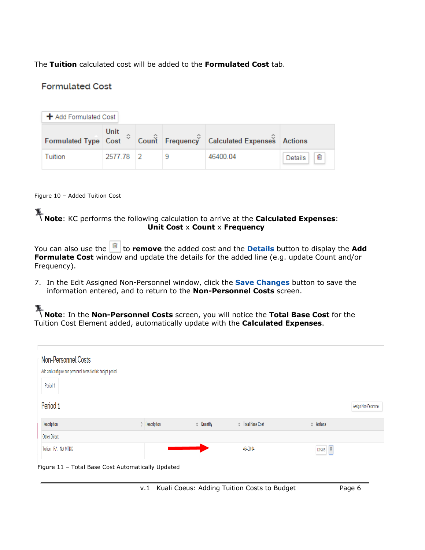The **Tuition** calculated cost will be added to the **Formulated Cost** tab.

## **Formulated Cost**

| ← Add Formulated Cost |           |  |  |                                                                                                                           |              |
|-----------------------|-----------|--|--|---------------------------------------------------------------------------------------------------------------------------|--------------|
|                       | Unit      |  |  | Formulated Type $\ \hat{\mathbf{c}}\ $ Cost $\hat{\mathbf{c}}$ Count $\ \hat{\mathbf{c}}\ $ Frequency Calculated Expenses |              |
| Tuition               | 2577.78 2 |  |  | 46400.04                                                                                                                  | 宜<br>Details |

#### Figure 10 – Added Tuition Cost

# **Note:** KC performs the following calculation to arrive at the **Calculated Expenses**: **Unit Cost** x **Count** x **Frequency**

|             | You can also use the $\boxed{\blacksquare}$ to remove the added cost and the Details button to display the Add |  |
|-------------|----------------------------------------------------------------------------------------------------------------|--|
|             | <b>Formulate Cost</b> window and update the details for the added line (e.g. update Count and/or               |  |
| Frequency). |                                                                                                                |  |

7. In the Edit Assigned Non-Personnel window, click the **Save Changes** button to save the information entered, and to return to the **Non-Personnel Costs** screen.

**Note:** In the **Non-Personnel Costs** screen, you will notice the **Total Base Cost** for the Tuition Cost Element added, automatically update with the **Calculated Expenses**.

| Non-Personnel Costs<br>Add and configure non-personnel items for this budget period. |                     |                                                   |  |              |  |                     |  |                           |                      |                                          |  |
|--------------------------------------------------------------------------------------|---------------------|---------------------------------------------------|--|--------------|--|---------------------|--|---------------------------|----------------------|------------------------------------------|--|
|                                                                                      | Period 1            |                                                   |  |              |  |                     |  |                           |                      |                                          |  |
| Period <sub>1</sub>                                                                  |                     |                                                   |  |              |  |                     |  |                           | Assign Non-Personnel |                                          |  |
|                                                                                      | Description         |                                                   |  | Conservation |  | $\Diamond$ Quantity |  | <b>Contains Base Cost</b> |                      | Actions                                  |  |
|                                                                                      | <b>Other Direct</b> |                                                   |  |              |  |                     |  |                           |                      |                                          |  |
|                                                                                      |                     | Tuition - RA - Not MTDC                           |  |              |  |                     |  | 46400.04                  |                      | $\widehat{\mathbf{e}}$<br><b>Details</b> |  |
|                                                                                      |                     | Figure 11 - Total Base Cost Automatically Updated |  |              |  |                     |  |                           |                      |                                          |  |

v.1 Kuali Coeus: Adding Tuition Costs to Budget Page 6